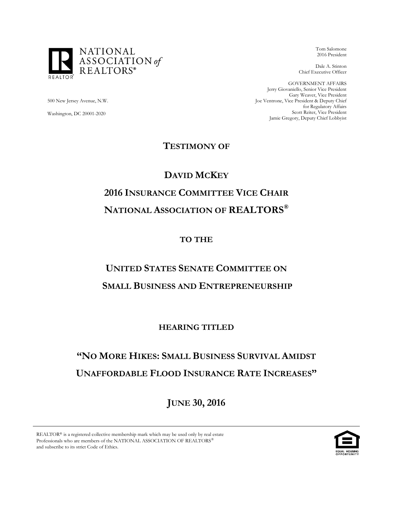

Tom Salomone 2016 President

Dale A. Stinton Chief Executive Officer

GOVERNMENT AFFAIRS Jerry Giovaniello, Senior Vice President Gary Weaver, Vice President Joe Ventrone, Vice President & Deputy Chief for Regulatory Affairs Scott Reiter, Vice President Jamie Gregory, Deputy Chief Lobbyist

500 New Jersey Avenue, N.W.

Washington, DC 20001-2020

### **TESTIMONY OF**

## **DAVID MCKEY 2016 INSURANCE COMMITTEE VICE CHAIR NATIONAL ASSOCIATION OF REALTORS®**

### **TO THE**

# **UNITED STATES SENATE COMMITTEE ON**

## **SMALL BUSINESS AND ENTREPRENEURSHIP**

## **HEARING TITLED**

## **"NO MORE HIKES: SMALL BUSINESS SURVIVAL AMIDST UNAFFORDABLE FLOOD INSURANCE RATE INCREASES"**

**JUNE 30, 2016**

REALTOR® is a registered collective membership mark which may be used only by real estate Professionals who are members of the NATIONAL ASSOCIATION OF REALTORS and subscribe to its strict Code of Ethics.

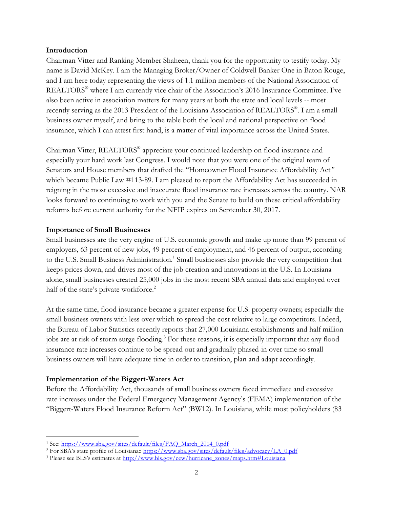#### **Introduction**

Chairman Vitter and Ranking Member Shaheen, thank you for the opportunity to testify today. My name is David McKey. I am the Managing Broker/Owner of Coldwell Banker One in Baton Rouge, and I am here today representing the views of 1.1 million members of the National Association of REALTORS® where I am currently vice chair of the Association's 2016 Insurance Committee. I've also been active in association matters for many years at both the state and local levels -- most recently serving as the 2013 President of the Louisiana Association of REALTORS ® . I am a small business owner myself, and bring to the table both the local and national perspective on flood insurance, which I can attest first hand, is a matter of vital importance across the United States.

Chairman Vitter, REALTORS® appreciate your continued leadership on flood insurance and especially your hard work last Congress. I would note that you were one of the original team of Senators and House members that drafted the "Homeowner Flood Insurance Affordability Act*"* which became Public Law #113-89. I am pleased to report the Affordability Act has succeeded in reigning in the most excessive and inaccurate flood insurance rate increases across the country. NAR looks forward to continuing to work with you and the Senate to build on these critical affordability reforms before current authority for the NFIP expires on September 30, 2017.

#### **Importance of Small Businesses**

Small businesses are the very engine of U.S. economic growth and make up more than 99 percent of employers, 63 percent of new jobs, 49 percent of employment, and 46 percent of output, according to the U.S. Small Business Administration.<sup>1</sup> Small businesses also provide the very competition that keeps prices down, and drives most of the job creation and innovations in the U.S. In Louisiana alone, small businesses created 25,000 jobs in the most recent SBA annual data and employed over half of the state's private workforce.<sup>2</sup>

At the same time, flood insurance became a greater expense for U.S. property owners; especially the small business owners with less over which to spread the cost relative to large competitors. Indeed, the Bureau of Labor Statistics recently reports that 27,000 Louisiana establishments and half million jobs are at risk of storm surge flooding. <sup>3</sup> For these reasons, it is especially important that any flood insurance rate increases continue to be spread out and gradually phased-in over time so small business owners will have adequate time in order to transition, plan and adapt accordingly.

#### **Implementation of the Biggert-Waters Act**

l

Before the Affordability Act, thousands of small business owners faced immediate and excessive rate increases under the Federal Emergency Management Agency's (FEMA) implementation of the "Biggert-Waters Flood Insurance Reform Act" (BW12). In Louisiana, while most policyholders (83

<sup>&</sup>lt;sup>1</sup> See: [https://www.sba.gov/sites/default/files/FAQ\\_March\\_2014\\_0.pdf](https://www.sba.gov/sites/default/files/FAQ_March_2014_0.pdf)

<sup>&</sup>lt;sup>2</sup> For SBA's state profile of Louisiana:: [https://www.sba.gov/sites/default/files/advocacy/LA\\_0.pdf](https://www.sba.gov/sites/default/files/advocacy/LA_0.pdf)

<sup>&</sup>lt;sup>3</sup> Please see BLS's estimates at [http://www.bls.gov/cew/hurricane\\_zones/maps.htm#Louisiana](http://www.bls.gov/cew/hurricane_zones/maps.htm#Louisiana)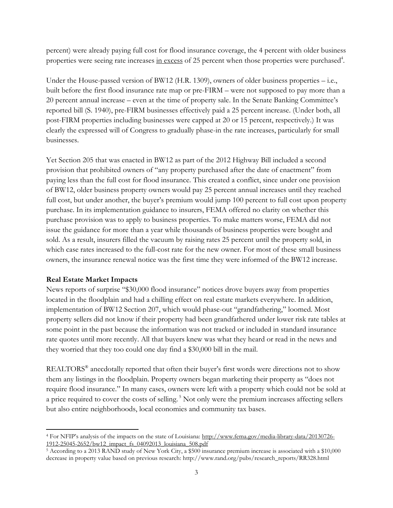percent) were already paying full cost for flood insurance coverage, the 4 percent with older business properties were seeing rate increases in excess of 25 percent when those properties were purchased<sup>4</sup>.

Under the House-passed version of BW12 (H.R. 1309), owners of older business properties – i.e., built before the first flood insurance rate map or pre-FIRM – were not supposed to pay more than a 20 percent annual increase – even at the time of property sale. In the Senate Banking Committee's reported bill (S. 1940), pre-FIRM businesses effectively paid a 25 percent increase. (Under both, all post-FIRM properties including businesses were capped at 20 or 15 percent, respectively.) It was clearly the expressed will of Congress to gradually phase-in the rate increases, particularly for small businesses.

Yet Section 205 that was enacted in BW12 as part of the 2012 Highway Bill included a second provision that prohibited owners of "any property purchased after the date of enactment" from paying less than the full cost for flood insurance. This created a conflict, since under one provision of BW12, older business property owners would pay 25 percent annual increases until they reached full cost, but under another, the buyer's premium would jump 100 percent to full cost upon property purchase. In its implementation guidance to insurers, FEMA offered no clarity on whether this purchase provision was to apply to business properties. To make matters worse, FEMA did not issue the guidance for more than a year while thousands of business properties were bought and sold. As a result, insurers filled the vacuum by raising rates 25 percent until the property sold, in which case rates increased to the full-cost rate for the new owner. For most of these small business owners, the insurance renewal notice was the first time they were informed of the BW12 increase.

#### **Real Estate Market Impacts**

News reports of surprise "\$30,000 flood insurance" notices drove buyers away from properties located in the floodplain and had a chilling effect on real estate markets everywhere. In addition, implementation of BW12 Section 207, which would phase-out "grandfathering," loomed. Most property sellers did not know if their property had been grandfathered under lower risk rate tables at some point in the past because the information was not tracked or included in standard insurance rate quotes until more recently. All that buyers knew was what they heard or read in the news and they worried that they too could one day find a \$30,000 bill in the mail.

REALTORS<sup>®</sup> anecdotally reported that often their buyer's first words were directions not to show them any listings in the floodplain. Property owners began marketing their property as "does not require flood insurance." In many cases, owners were left with a property which could not be sold at a price required to cover the costs of selling.<sup>5</sup> Not only were the premium increases affecting sellers but also entire neighborhoods, local economies and community tax bases.

l <sup>4</sup> For NFIP's analysis of the impacts on the state of Louisiana: [http://www.fema.gov/media-library-data/20130726-](http://www.fema.gov/media-library-data/20130726-1912-25045-2652/bw12_impact_fs_04092013_louisiana_508.pdf) [1912-25045-2652/bw12\\_impact\\_fs\\_04092013\\_louisiana\\_508.pdf](http://www.fema.gov/media-library-data/20130726-1912-25045-2652/bw12_impact_fs_04092013_louisiana_508.pdf)

<sup>5</sup> According to a 2013 RAND study of New York City, a \$500 insurance premium increase is associated with a \$10,000 decrease in property value based on previous research: http://www.rand.org/pubs/research\_reports/RR328.html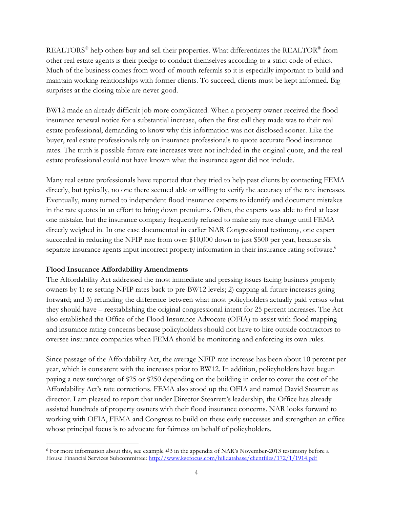REALTORS $^{\circ}$  help others buy and sell their properties. What differentiates the REALTOR $^{\circ}$  from other real estate agents is their pledge to conduct themselves according to a strict code of ethics. Much of the business comes from word-of-mouth referrals so it is especially important to build and maintain working relationships with former clients. To succeed, clients must be kept informed. Big surprises at the closing table are never good.

BW12 made an already difficult job more complicated. When a property owner received the flood insurance renewal notice for a substantial increase, often the first call they made was to their real estate professional, demanding to know why this information was not disclosed sooner. Like the buyer, real estate professionals rely on insurance professionals to quote accurate flood insurance rates. The truth is possible future rate increases were not included in the original quote, and the real estate professional could not have known what the insurance agent did not include.

Many real estate professionals have reported that they tried to help past clients by contacting FEMA directly, but typically, no one there seemed able or willing to verify the accuracy of the rate increases. Eventually, many turned to independent flood insurance experts to identify and document mistakes in the rate quotes in an effort to bring down premiums. Often, the experts was able to find at least one mistake, but the insurance company frequently refused to make any rate change until FEMA directly weighed in. In one case documented in earlier NAR Congressional testimony, one expert succeeded in reducing the NFIP rate from over \$10,000 down to just \$500 per year, because six separate insurance agents input incorrect property information in their insurance rating software.<sup>6</sup>

#### **Flood Insurance Affordability Amendments**

The Affordability Act addressed the most immediate and pressing issues facing business property owners by 1) re-setting NFIP rates back to pre-BW12 levels; 2) capping all future increases going forward; and 3) refunding the difference between what most policyholders actually paid versus what they should have – reestablishing the original congressional intent for 25 percent increases. The Act also established the Office of the Flood Insurance Advocate (OFIA) to assist with flood mapping and insurance rating concerns because policyholders should not have to hire outside contractors to oversee insurance companies when FEMA should be monitoring and enforcing its own rules.

Since passage of the Affordability Act, the average NFIP rate increase has been about 10 percent per year, which is consistent with the increases prior to BW12. In addition, policyholders have begun paying a new surcharge of \$25 or \$250 depending on the building in order to cover the cost of the Affordability Act's rate corrections. FEMA also stood up the OFIA and named David Stearrett as director. I am pleased to report that under Director Stearrett's leadership, the Office has already assisted hundreds of property owners with their flood insurance concerns. NAR looks forward to working with OFIA, FEMA and Congress to build on these early successes and strengthen an office whose principal focus is to advocate for fairness on behalf of policyholders.

 $\overline{\phantom{a}}$ <sup>6</sup> For more information about this, see example #3 in the appendix of NAR's November-2013 testimony before a House Financial Services Subcommittee:<http://www.ksefocus.com/billdatabase/clientfiles/172/1/1914.pdf>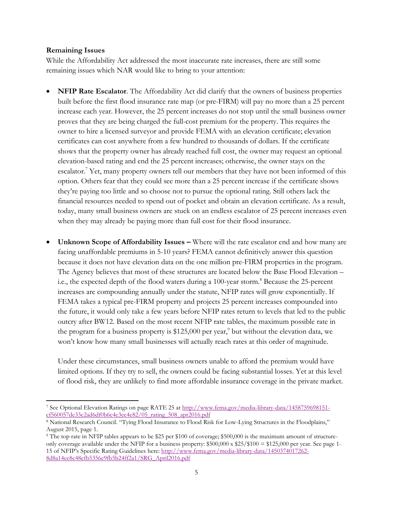#### **Remaining Issues**

While the Affordability Act addressed the most inaccurate rate increases, there are still some remaining issues which NAR would like to bring to your attention:

- **NFIP Rate Escalator**. The Affordability Act did clarify that the owners of business properties built before the first flood insurance rate map (or pre-FIRM) will pay no more than a 25 percent increase each year. However, the 25 percent increases do not stop until the small business owner proves that they are being charged the full-cost premium for the property. This requires the owner to hire a licensed surveyor and provide FEMA with an elevation certificate; elevation certificates can cost anywhere from a few hundred to thousands of dollars. If the certificate shows that the property owner has already reached full cost, the owner may request an optional elevation-based rating and end the 25 percent increases; otherwise, the owner stays on the escalator.<sup>7</sup> Yet, many property owners tell our members that they have not been informed of this option. Others fear that they could see more than a 25 percent increase if the certificate shows they're paying too little and so choose not to pursue the optional rating. Still others lack the financial resources needed to spend out of pocket and obtain an elevation certificate. As a result, today, many small business owners are stuck on an endless escalator of 25 percent increases even when they may already be paying more than full cost for their flood insurance.
- **Unknown Scope of Affordability Issues –** Where will the rate escalator end and how many are facing unaffordable premiums in 5-10 years? FEMA cannot definitively answer this question because it does not have elevation data on the one million pre-FIRM properties in the program. The Agency believes that most of these structures are located below the Base Flood Elevation – i.e., the expected depth of the flood waters during a 100-year storm.<sup>8</sup> Because the 25-percent increases are compounding annually under the statute, NFIP rates will grow exponentially. If FEMA takes a typical pre-FIRM property and projects 25 percent increases compounded into the future, it would only take a few years before NFIP rates return to levels that led to the public outcry after BW12. Based on the most recent NFIP rate tables, the maximum possible rate in the program for a business property is \$125,000 per year,<sup>9</sup> but without the elevation data, we won't know how many small businesses will actually reach rates at this order of magnitude.

Under these circumstances, small business owners unable to afford the premium would have limited options. If they try to sell, the owners could be facing substantial losses. Yet at this level of flood risk, they are unlikely to find more affordable insurance coverage in the private market.

l <sup>7</sup> See Optional Elevation Ratings on page RATE 25 at [http://www.fema.gov/media-library-data/1458759698151](http://www.fema.gov/media-library-data/1458759698151-cf560057de33c2ad6df0b6c4e3ec4e82/05_rating_508_apr2016.pdf) [cf560057de33c2ad6df0b6c4e3ec4e82/05\\_rating\\_508\\_apr2016.pdf](http://www.fema.gov/media-library-data/1458759698151-cf560057de33c2ad6df0b6c4e3ec4e82/05_rating_508_apr2016.pdf)

<sup>8</sup> National Research Council. "Tying Flood Insurance to Flood Risk for Low-Lying Structures in the Floodplains," August 2015, page 1.

<sup>9</sup> The top rate in NFIP tables appears to be \$25 per \$100 of coverage; \$500,000 is the maximum amount of structureonly coverage available under the NFIP for a business property: \$500,000 x \$25/\$100 = \$125,000 per year. See page 1- 15 of NFIP's Specific Rating Guidelines here: [http://www.fema.gov/media-library-data/1450374017262-](http://www.fema.gov/media-library-data/1450374017262-8d8a14ee8c48efb5356e9fb5b24ff2a1/SRG_April2016.pdf) [8d8a14ee8c48efb5356e9fb5b24ff2a1/SRG\\_April2016.pdf](http://www.fema.gov/media-library-data/1450374017262-8d8a14ee8c48efb5356e9fb5b24ff2a1/SRG_April2016.pdf)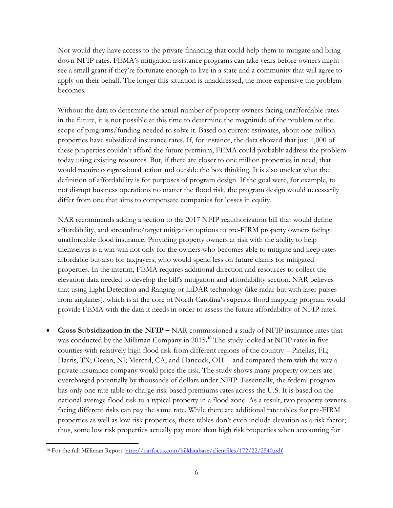Nor would they have access to the private financing that could help them to mitigate and bring down NFIP rates. FEMA's mitigation assistance programs can take years before owners might see a small grant if they're fortunate enough to live in a state and a community that will agree to apply on their behalf. The longer this situation is unaddressed, the more expensive the problem becomes.

Without the data to determine the actual number of property owners facing unaffordable rates in the future, it is not possible at this time to determine the magnitude of the problem or the scope of programs/funding needed to solve it. Based on current estimates, about one million properties have subsidized insurance rates. If, for instance, the data showed that just 1,000 of these properties couldn't afford the future premium, FEMA could probably address the problem today using existing resources. But, if there are closer to one million properties in need, that would require congressional action and outside the box thinking. It is also unclear what the definition of affordability is for purposes of program design. If the goal were, for example, to not disrupt business operations no matter the flood risk, the program design would necessarily differ from one that aims to compensate companies for losses in equity.

NAR recommends adding a section to the 2017 NFIP reauthorization bill that would define affordability, and streamline/target mitigation options to pre-FIRM property owners facing unaffordable flood insurance. Providing property owners at risk with the ability to help themselves is a win-win not only for the owners who becomes able to mitigate and keep rates affordable but also for taxpayers, who would spend less on future claims for mitigated properties. In the interim, FEMA requires additional direction and resources to collect the elevation data needed to develop the bill's mitigation and affordability section. NAR believes that using Light Detection and Ranging or LiDAR technology (like radar but with laser pulses from airplanes), which is at the core of North Carolina's superior flood mapping program would provide FEMA with the data it needs in order to assess the future affordability of NFIP rates.

 **Cross Subsidization in the NFIP –** NAR commissioned a study of NFIP insurance rates that was conducted by the Milliman Company in 2015**. <sup>10</sup>** The study looked at NFIP rates in five counties with relatively high flood risk from different regions of the country – Pinellas, FL; Harris, TX; Ocean, NJ; Merced, CA; and Hancock, OH -- and compared them with the way a private insurance company would price the risk. The study shows many property owners are overcharged potentially by thousands of dollars under NFIP. Essentially, the federal program has only one rate table to charge risk-based premiums rates across the U.S. It is based on the national average flood risk to a typical property in a flood zone. As a result, two property owners facing different risks can pay the same rate. While there are additional rate tables for pre-FIRM properties as well as low risk properties, those tables don't even include elevation as a risk factor; thus, some low risk properties actually pay more than high risk properties when accounting for

 $\overline{a}$ <sup>10</sup> For the full Milliman Report:<http://narfocus.com/billdatabase/clientfiles/172/22/2540.pdf>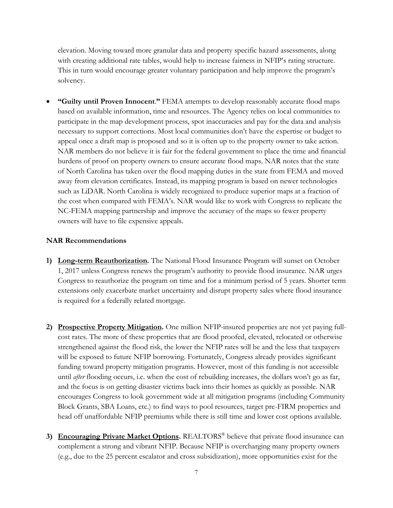elevation. Moving toward more granular data and property specific hazard assessments, along with creating additional rate tables, would help to increase fairness in NFIP's rating structure. This in turn would encourage greater voluntary participation and help improve the program's solvency.

 **"Guilty until Proven Innocent**.**"** FEMA attempts to develop reasonably accurate flood maps based on available information, time and resources. The Agency relies on local communities to participate in the map development process, spot inaccuracies and pay for the data and analysis necessary to support corrections. Most local communities don't have the expertise or budget to appeal once a draft map is proposed and so it is often up to the property owner to take action. NAR members do not believe it is fair for the federal government to place the time and financial burdens of proof on property owners to ensure accurate flood maps. NAR notes that the state of North Carolina has taken over the flood mapping duties in the state from FEMA and moved away from elevation certificates. Instead, its mapping program is based on newer technologies such as LiDAR. North Carolina is widely recognized to produce superior maps at a fraction of the cost when compared with FEMA's. NAR would like to work with Congress to replicate the NC-FEMA mapping partnership and improve the accuracy of the maps so fewer property owners will have to file expensive appeals.

#### **NAR Recommendations**

- **1) Long-term Reauthorization.** The National Flood Insurance Program will sunset on October 1, 2017 unless Congress renews the program's authority to provide flood insurance. NAR urges Congress to reauthorize the program on time and for a minimum period of 5 years. Shorter term extensions only exacerbate market uncertainty and disrupt property sales where flood insurance is required for a federally related mortgage.
- **2) Prospective Property Mitigation.** One million NFIP-insured properties are not yet paying fullcost rates. The more of these properties that are flood proofed, elevated, relocated or otherwise strengthened against the flood risk, the lower the NFIP rates will be and the less that taxpayers will be exposed to future NFIP borrowing. Fortunately, Congress already provides significant funding toward property mitigation programs. However, most of this funding is not accessible until *after* flooding occurs, i.e. when the cost of rebuilding increases, the dollars won't go as far, and the focus is on getting disaster victims back into their homes as quickly as possible. NAR encourages Congress to look government wide at all mitigation programs (including Community Block Grants, SBA Loans, etc.) to find ways to pool resources, target pre-FIRM properties and head off unaffordable NFIP premiums while there is still time and lower cost options available.
- **3) Encouraging Private Market Options.** REALTORS® believe that private flood insurance can complement a strong and vibrant NFIP. Because NFIP is overcharging many property owners (e.g., due to the 25 percent escalator and cross subsidization), more opportunities exist for the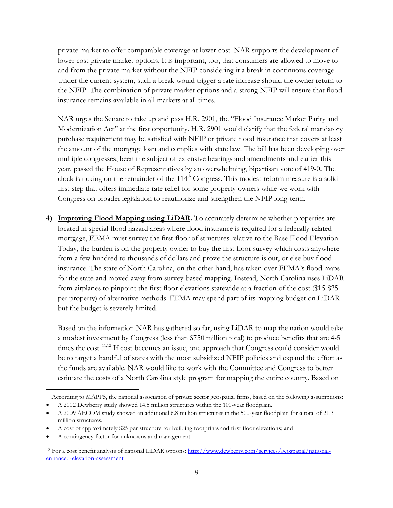private market to offer comparable coverage at lower cost. NAR supports the development of lower cost private market options. It is important, too, that consumers are allowed to move to and from the private market without the NFIP considering it a break in continuous coverage. Under the current system, such a break would trigger a rate increase should the owner return to the NFIP. The combination of private market options and a strong NFIP will ensure that flood insurance remains available in all markets at all times.

NAR urges the Senate to take up and pass H.R. 2901, the "Flood Insurance Market Parity and Modernization Act" at the first opportunity. H.R. 2901 would clarify that the federal mandatory purchase requirement may be satisfied with NFIP or private flood insurance that covers at least the amount of the mortgage loan and complies with state law. The bill has been developing over multiple congresses, been the subject of extensive hearings and amendments and earlier this year, passed the House of Representatives by an overwhelming, bipartisan vote of 419-0. The clock is ticking on the remainder of the  $114<sup>th</sup>$  Congress. This modest reform measure is a solid first step that offers immediate rate relief for some property owners while we work with Congress on broader legislation to reauthorize and strengthen the NFIP long-term.

**4) Improving Flood Mapping using LiDAR.** To accurately determine whether properties are located in special flood hazard areas where flood insurance is required for a federally-related mortgage, FEMA must survey the first floor of structures relative to the Base Flood Elevation. Today, the burden is on the property owner to buy the first floor survey which costs anywhere from a few hundred to thousands of dollars and prove the structure is out, or else buy flood insurance. The state of North Carolina, on the other hand, has taken over FEMA's flood maps for the state and moved away from survey-based mapping. Instead, North Carolina uses LiDAR from airplanes to pinpoint the first floor elevations statewide at a fraction of the cost (\$15-\$25 per property) of alternative methods. FEMA may spend part of its mapping budget on LiDAR but the budget is severely limited.

Based on the information NAR has gathered so far, using LiDAR to map the nation would take a modest investment by Congress (less than \$750 million total) to produce benefits that are 4-5 times the cost.<sup>11,12</sup> If cost becomes an issue, one approach that Congress could consider would be to target a handful of states with the most subsidized NFIP policies and expand the effort as the funds are available. NAR would like to work with the Committee and Congress to better estimate the costs of a North Carolina style program for mapping the entire country. Based on

 $\overline{a}$ 

<sup>&</sup>lt;sup>11</sup> According to MAPPS, the national association of private sector geospatial firms, based on the following assumptions:

A 2012 Dewberry study showed 14.5 million structures within the 100-year floodplain.

A 2009 AECOM study showed an additional 6.8 million structures in the 500-year floodplain for a total of 21.3 million structures.

A cost of approximately \$25 per structure for building footprints and first floor elevations; and

A contingency factor for unknowns and management.

<sup>&</sup>lt;sup>12</sup> For a cost benefit analysis of national LiDAR options[: http://www.dewberry.com/services/geospatial/national](http://www.dewberry.com/services/geospatial/national-enhanced-elevation-assessment)[enhanced-elevation-assessment](http://www.dewberry.com/services/geospatial/national-enhanced-elevation-assessment)